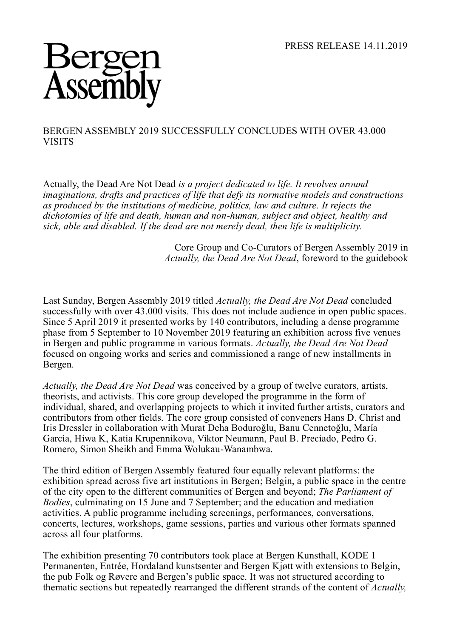## Assemt

## BERGEN ASSEMBLY 2019 SUCCESSFULLY CONCLUDES WITH OVER 43.000 **VISITS**

Actually, the Dead Are Not Dead *is a project dedicated to life. It revolves around imaginations, drafts and practices of life that defy its normative models and constructions as produced by the institutions of medicine, politics, law and culture. It rejects the dichotomies of life and death, human and non-human, subject and object, healthy and sick, able and disabled. If the dead are not merely dead, then life is multiplicity.* 

> Core Group and Co-Curators of Bergen Assembly 2019 in *Actually, the Dead Are Not Dead*, foreword to the guidebook

Last Sunday, Bergen Assembly 2019 titled *Actually, the Dead Are Not Dead* concluded successfully with over 43.000 visits. This does not include audience in open public spaces. Since 5 April 2019 it presented works by 140 contributors, including a dense programme phase from 5 September to 10 November 2019 featuring an exhibition across five venues in Bergen and public programme in various formats. *Actually, the Dead Are Not Dead* focused on ongoing works and series and commissioned a range of new installments in Bergen.

*Actually, the Dead Are Not Dead* was conceived by a group of twelve curators, artists, theorists, and activists. This core group developed the programme in the form of individual, shared, and overlapping projects to which it invited further artists, curators and contributors from other fields. The core group consisted of conveners Hans D. Christ and Iris Dressler in collaboration with Murat Deha Boduroğlu, Banu Cennetoğlu, María García, Hiwa K, Katia Krupennikova, Viktor Neumann, Paul B. Preciado, Pedro G. Romero, Simon Sheikh and Emma Wolukau-Wanambwa.

The third edition of Bergen Assembly featured four equally relevant platforms: the exhibition spread across five art institutions in Bergen; Belgin, a public space in the centre of the city open to the different communities of Bergen and beyond; *The Parliament of Bodies*, culminating on 15 June and 7 September; and the education and mediation activities. A public programme including screenings, performances, conversations, concerts, lectures, workshops, game sessions, parties and various other formats spanned across all four platforms.

The exhibition presenting 70 contributors took place at Bergen Kunsthall, KODE 1 Permanenten, Entrée, Hordaland kunstsenter and Bergen Kjøtt with extensions to Belgin, the pub Folk og Røvere and Bergen's public space. It was not structured according to thematic sections but repeatedly rearranged the different strands of the content of *Actually,*